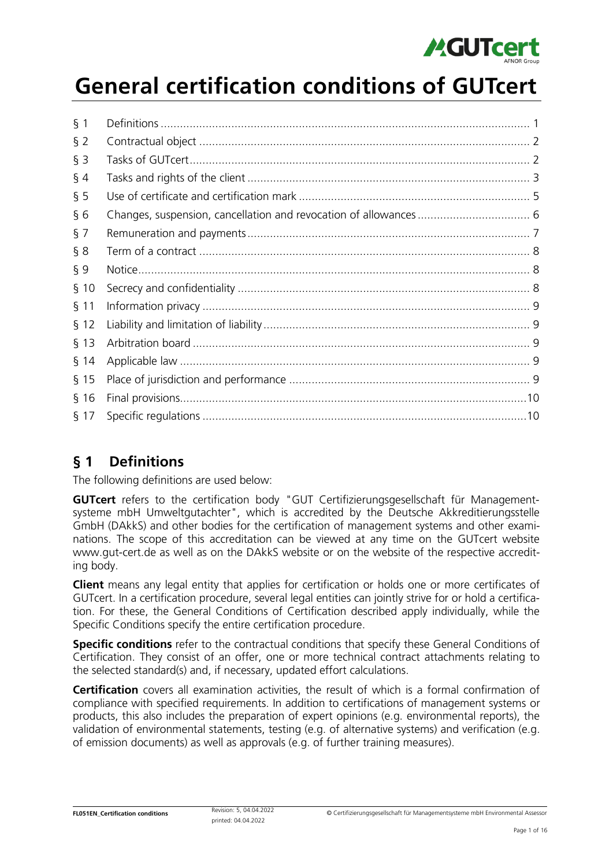

# General certification conditions of GUTcert

| $§$ 1   |     |
|---------|-----|
| $§$ 2   |     |
| $§$ 3   |     |
| $\S$ 4  |     |
| $\S$ 5  |     |
| §6      |     |
| $\S$ 7  |     |
| § 8     |     |
| ξ9      |     |
| $§$ 10  |     |
| $§$ 11  |     |
| $§$ 12  |     |
| $§$ 13  |     |
| $§$ 14  |     |
| $§$ 15  |     |
| $§$ 16  |     |
| $\S$ 17 | .10 |
|         |     |

### § 1 Definitions

The following definitions are used below:

GUTcert refers to the certification body "GUT Certifizierungsgesellschaft für Managementsysteme mbH Umweltgutachter", which is accredited by the Deutsche Akkreditierungsstelle GmbH (DAkkS) and other bodies for the certification of management systems and other examinations. The scope of this accreditation can be viewed at any time on the GUTcert website www.gut-cert.de as well as on the DAkkS website or on the website of the respective accrediting body.

**Client** means any legal entity that applies for certification or holds one or more certificates of GUTcert. In a certification procedure, several legal entities can jointly strive for or hold a certification. For these, the General Conditions of Certification described apply individually, while the Specific Conditions specify the entire certification procedure.

**Specific conditions** refer to the contractual conditions that specify these General Conditions of Certification. They consist of an offer, one or more technical contract attachments relating to the selected standard(s) and, if necessary, updated effort calculations.

**Certification** covers all examination activities, the result of which is a formal confirmation of compliance with specified requirements. In addition to certifications of management systems or products, this also includes the preparation of expert opinions (e.g. environmental reports), the validation of environmental statements, testing (e.g. of alternative systems) and verification (e.g. of emission documents) as well as approvals (e.g. of further training measures).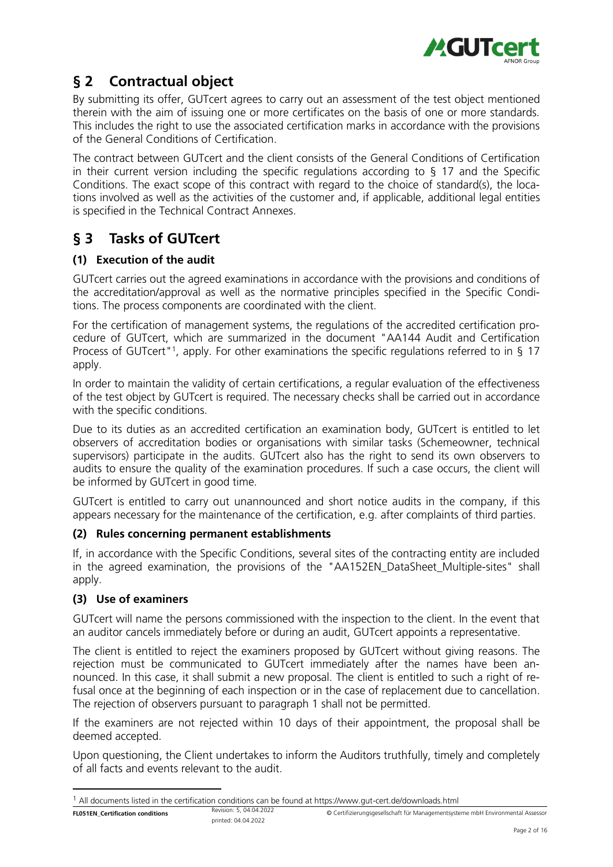

# § 2 Contractual object

By submitting its offer, GUTcert agrees to carry out an assessment of the test object mentioned therein with the aim of issuing one or more certificates on the basis of one or more standards. This includes the right to use the associated certification marks in accordance with the provisions of the General Conditions of Certification.

The contract between GUTcert and the client consists of the General Conditions of Certification in their current version including the specific regulations according to § 17 and the Specific Conditions. The exact scope of this contract with regard to the choice of standard(s), the locations involved as well as the activities of the customer and, if applicable, additional legal entities is specified in the Technical Contract Annexes.

# § 3 Tasks of GUTcert

### (1) Execution of the audit

GUTcert carries out the agreed examinations in accordance with the provisions and conditions of the accreditation/approval as well as the normative principles specified in the Specific Conditions. The process components are coordinated with the client.

For the certification of management systems, the regulations of the accredited certification procedure of GUTcert, which are summarized in the document "AA144 Audit and Certification Process of GUTcert"<sup>1</sup>, apply. For other examinations the specific regulations referred to in § 17 apply.

In order to maintain the validity of certain certifications, a regular evaluation of the effectiveness of the test object by GUTcert is required. The necessary checks shall be carried out in accordance with the specific conditions.

Due to its duties as an accredited certification an examination body, GUTcert is entitled to let observers of accreditation bodies or organisations with similar tasks (Schemeowner, technical supervisors) participate in the audits. GUTcert also has the right to send its own observers to audits to ensure the quality of the examination procedures. If such a case occurs, the client will be informed by GUTcert in good time.

GUTcert is entitled to carry out unannounced and short notice audits in the company, if this appears necessary for the maintenance of the certification, e.g. after complaints of third parties.

### (2) Rules concerning permanent establishments

If, in accordance with the Specific Conditions, several sites of the contracting entity are included in the agreed examination, the provisions of the "AA152EN\_DataSheet\_Multiple-sites" shall apply.

### (3) Use of examiners

GUTcert will name the persons commissioned with the inspection to the client. In the event that an auditor cancels immediately before or during an audit, GUTcert appoints a representative.

The client is entitled to reject the examiners proposed by GUTcert without giving reasons. The rejection must be communicated to GUTcert immediately after the names have been announced. In this case, it shall submit a new proposal. The client is entitled to such a right of refusal once at the beginning of each inspection or in the case of replacement due to cancellation. The rejection of observers pursuant to paragraph 1 shall not be permitted.

If the examiners are not rejected within 10 days of their appointment, the proposal shall be deemed accepted.

Upon questioning, the Client undertakes to inform the Auditors truthfully, timely and completely of all facts and events relevant to the audit.

 $1$  All documents listed in the certification conditions can be found at https://www.gut-cert.de/downloads.html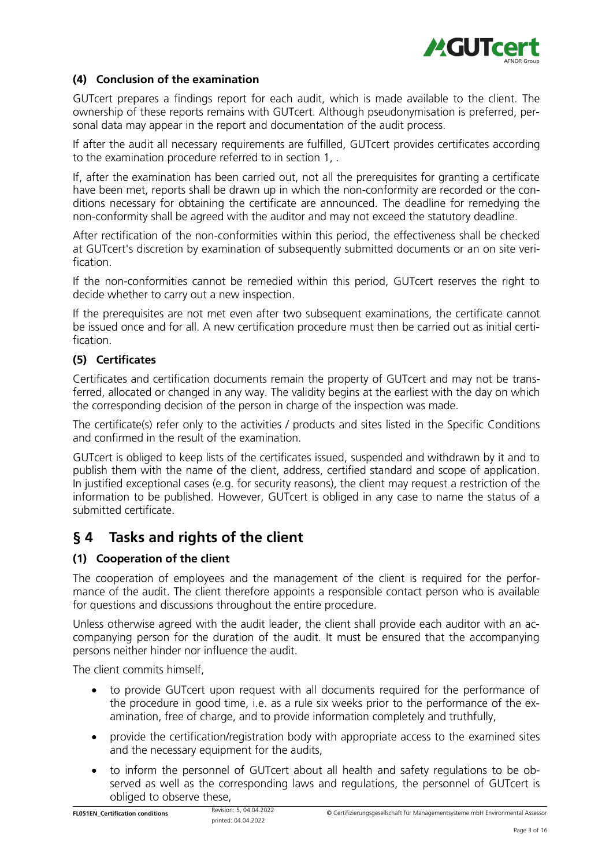

### (4) Conclusion of the examination

GUTcert prepares a findings report for each audit, which is made available to the client. The ownership of these reports remains with GUTcert. Although pseudonymisation is preferred, personal data may appear in the report and documentation of the audit process.

If after the audit all necessary requirements are fulfilled, GUTcert provides certificates according to the examination procedure referred to in section 1, .

If, after the examination has been carried out, not all the prerequisites for granting a certificate have been met, reports shall be drawn up in which the non-conformity are recorded or the conditions necessary for obtaining the certificate are announced. The deadline for remedying the non-conformity shall be agreed with the auditor and may not exceed the statutory deadline.

After rectification of the non-conformities within this period, the effectiveness shall be checked at GUTcert's discretion by examination of subsequently submitted documents or an on site verification.

If the non-conformities cannot be remedied within this period, GUTcert reserves the right to decide whether to carry out a new inspection.

If the prerequisites are not met even after two subsequent examinations, the certificate cannot be issued once and for all. A new certification procedure must then be carried out as initial certification.

#### (5) Certificates

Certificates and certification documents remain the property of GUTcert and may not be transferred, allocated or changed in any way. The validity begins at the earliest with the day on which the corresponding decision of the person in charge of the inspection was made.

The certificate(s) refer only to the activities / products and sites listed in the Specific Conditions and confirmed in the result of the examination.

GUTcert is obliged to keep lists of the certificates issued, suspended and withdrawn by it and to publish them with the name of the client, address, certified standard and scope of application. In justified exceptional cases (e.g. for security reasons), the client may request a restriction of the information to be published. However, GUTcert is obliged in any case to name the status of a submitted certificate.

### § 4 Tasks and rights of the client

### (1) Cooperation of the client

The cooperation of employees and the management of the client is required for the performance of the audit. The client therefore appoints a responsible contact person who is available for questions and discussions throughout the entire procedure.

Unless otherwise agreed with the audit leader, the client shall provide each auditor with an accompanying person for the duration of the audit. It must be ensured that the accompanying persons neither hinder nor influence the audit.

The client commits himself,

- to provide GUTcert upon request with all documents required for the performance of the procedure in good time, i.e. as a rule six weeks prior to the performance of the examination, free of charge, and to provide information completely and truthfully,
- provide the certification/registration body with appropriate access to the examined sites and the necessary equipment for the audits,
- to inform the personnel of GUTcert about all health and safety regulations to be observed as well as the corresponding laws and regulations, the personnel of GUTcert is obliged to observe these,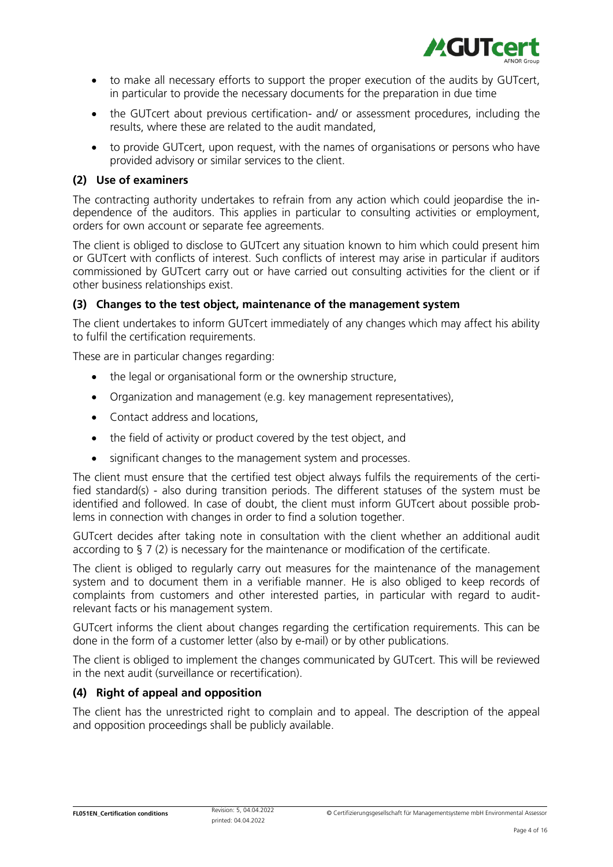

- to make all necessary efforts to support the proper execution of the audits by GUTcert, in particular to provide the necessary documents for the preparation in due time
- the GUTcert about previous certification- and/ or assessment procedures, including the results, where these are related to the audit mandated,
- to provide GUTcert, upon request, with the names of organisations or persons who have provided advisory or similar services to the client.

#### (2) Use of examiners

The contracting authority undertakes to refrain from any action which could jeopardise the independence of the auditors. This applies in particular to consulting activities or employment, orders for own account or separate fee agreements.

The client is obliged to disclose to GUTcert any situation known to him which could present him or GUTcert with conflicts of interest. Such conflicts of interest may arise in particular if auditors commissioned by GUTcert carry out or have carried out consulting activities for the client or if other business relationships exist.

#### (3) Changes to the test object, maintenance of the management system

The client undertakes to inform GUTcert immediately of any changes which may affect his ability to fulfil the certification requirements.

These are in particular changes regarding:

- the legal or organisational form or the ownership structure,
- Organization and management (e.g. key management representatives),
- Contact address and locations,
- the field of activity or product covered by the test object, and
- significant changes to the management system and processes.

The client must ensure that the certified test object always fulfils the requirements of the certified standard(s) - also during transition periods. The different statuses of the system must be identified and followed. In case of doubt, the client must inform GUTcert about possible problems in connection with changes in order to find a solution together.

GUTcert decides after taking note in consultation with the client whether an additional audit according to § 7 (2) is necessary for the maintenance or modification of the certificate.

The client is obliged to regularly carry out measures for the maintenance of the management system and to document them in a verifiable manner. He is also obliged to keep records of complaints from customers and other interested parties, in particular with regard to auditrelevant facts or his management system.

GUTcert informs the client about changes regarding the certification requirements. This can be done in the form of a customer letter (also by e-mail) or by other publications.

The client is obliged to implement the changes communicated by GUTcert. This will be reviewed in the next audit (surveillance or recertification).

#### (4) Right of appeal and opposition

The client has the unrestricted right to complain and to appeal. The description of the appeal and opposition proceedings shall be publicly available.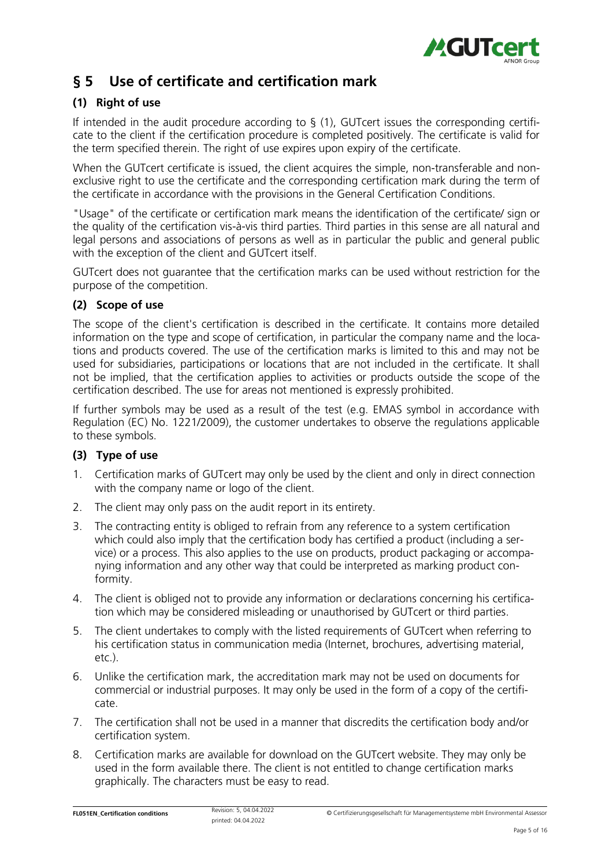

# § 5 Use of certificate and certification mark

### (1) Right of use

If intended in the audit procedure according to § (1), GUTcert issues the corresponding certificate to the client if the certification procedure is completed positively. The certificate is valid for the term specified therein. The right of use expires upon expiry of the certificate.

When the GUTcert certificate is issued, the client acquires the simple, non-transferable and nonexclusive right to use the certificate and the corresponding certification mark during the term of the certificate in accordance with the provisions in the General Certification Conditions.

"Usage" of the certificate or certification mark means the identification of the certificate/ sign or the quality of the certification vis-à-vis third parties. Third parties in this sense are all natural and legal persons and associations of persons as well as in particular the public and general public with the exception of the client and GUTcert itself.

GUTcert does not guarantee that the certification marks can be used without restriction for the purpose of the competition.

### (2) Scope of use

The scope of the client's certification is described in the certificate. It contains more detailed information on the type and scope of certification, in particular the company name and the locations and products covered. The use of the certification marks is limited to this and may not be used for subsidiaries, participations or locations that are not included in the certificate. It shall not be implied, that the certification applies to activities or products outside the scope of the certification described. The use for areas not mentioned is expressly prohibited.

If further symbols may be used as a result of the test (e.g. EMAS symbol in accordance with Regulation (EC) No. 1221/2009), the customer undertakes to observe the regulations applicable to these symbols.

### (3) Type of use

- 1. Certification marks of GUTcert may only be used by the client and only in direct connection with the company name or logo of the client.
- 2. The client may only pass on the audit report in its entirety.
- 3. The contracting entity is obliged to refrain from any reference to a system certification which could also imply that the certification body has certified a product (including a service) or a process. This also applies to the use on products, product packaging or accompanying information and any other way that could be interpreted as marking product conformity.
- 4. The client is obliged not to provide any information or declarations concerning his certification which may be considered misleading or unauthorised by GUTcert or third parties.
- 5. The client undertakes to comply with the listed requirements of GUTcert when referring to his certification status in communication media (Internet, brochures, advertising material, etc.).
- 6. Unlike the certification mark, the accreditation mark may not be used on documents for commercial or industrial purposes. It may only be used in the form of a copy of the certificate.
- 7. The certification shall not be used in a manner that discredits the certification body and/or certification system.
- 8. Certification marks are available for download on the GUTcert website. They may only be used in the form available there. The client is not entitled to change certification marks graphically. The characters must be easy to read.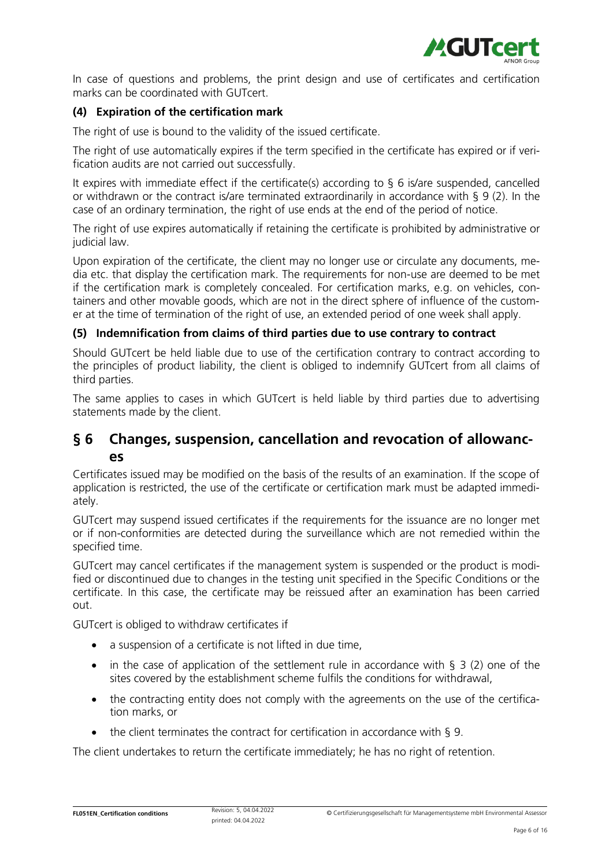

In case of questions and problems, the print design and use of certificates and certification marks can be coordinated with GUTcert.

### (4) Expiration of the certification mark

The right of use is bound to the validity of the issued certificate.

The right of use automatically expires if the term specified in the certificate has expired or if verification audits are not carried out successfully.

It expires with immediate effect if the certificate(s) according to § 6 is/are suspended, cancelled or withdrawn or the contract is/are terminated extraordinarily in accordance with § 9 (2). In the case of an ordinary termination, the right of use ends at the end of the period of notice.

The right of use expires automatically if retaining the certificate is prohibited by administrative or judicial law.

Upon expiration of the certificate, the client may no longer use or circulate any documents, media etc. that display the certification mark. The requirements for non-use are deemed to be met if the certification mark is completely concealed. For certification marks, e.g. on vehicles, containers and other movable goods, which are not in the direct sphere of influence of the customer at the time of termination of the right of use, an extended period of one week shall apply.

### (5) Indemnification from claims of third parties due to use contrary to contract

Should GUTcert be held liable due to use of the certification contrary to contract according to the principles of product liability, the client is obliged to indemnify GUTcert from all claims of third parties.

The same applies to cases in which GUTcert is held liable by third parties due to advertising statements made by the client.

### § 6 Changes, suspension, cancellation and revocation of allowances

Certificates issued may be modified on the basis of the results of an examination. If the scope of application is restricted, the use of the certificate or certification mark must be adapted immediately.

GUTcert may suspend issued certificates if the requirements for the issuance are no longer met or if non-conformities are detected during the surveillance which are not remedied within the specified time.

GUTcert may cancel certificates if the management system is suspended or the product is modified or discontinued due to changes in the testing unit specified in the Specific Conditions or the certificate. In this case, the certificate may be reissued after an examination has been carried out.

GUTcert is obliged to withdraw certificates if

- a suspension of a certificate is not lifted in due time.
- in the case of application of the settlement rule in accordance with § 3 (2) one of the sites covered by the establishment scheme fulfils the conditions for withdrawal,
- the contracting entity does not comply with the agreements on the use of the certification marks, or
- the client terminates the contract for certification in accordance with § 9.

The client undertakes to return the certificate immediately; he has no right of retention.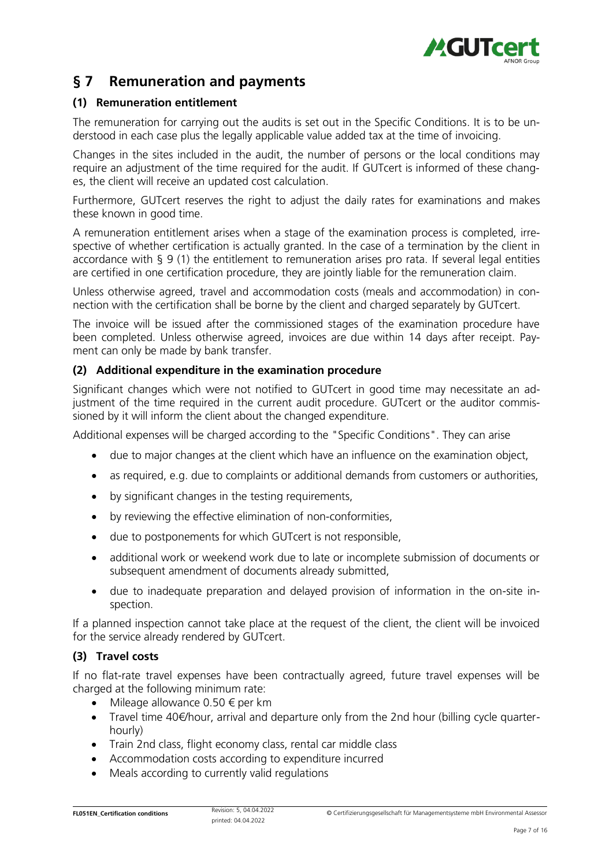

### § 7 Remuneration and payments

### (1) Remuneration entitlement

The remuneration for carrying out the audits is set out in the Specific Conditions. It is to be understood in each case plus the legally applicable value added tax at the time of invoicing.

Changes in the sites included in the audit, the number of persons or the local conditions may require an adjustment of the time required for the audit. If GUTcert is informed of these changes, the client will receive an updated cost calculation.

Furthermore, GUTcert reserves the right to adjust the daily rates for examinations and makes these known in good time.

A remuneration entitlement arises when a stage of the examination process is completed, irrespective of whether certification is actually granted. In the case of a termination by the client in accordance with § 9 (1) the entitlement to remuneration arises pro rata. If several legal entities are certified in one certification procedure, they are jointly liable for the remuneration claim.

Unless otherwise agreed, travel and accommodation costs (meals and accommodation) in connection with the certification shall be borne by the client and charged separately by GUTcert.

The invoice will be issued after the commissioned stages of the examination procedure have been completed. Unless otherwise agreed, invoices are due within 14 days after receipt. Payment can only be made by bank transfer.

### (2) Additional expenditure in the examination procedure

Significant changes which were not notified to GUTcert in good time may necessitate an adjustment of the time required in the current audit procedure. GUTcert or the auditor commissioned by it will inform the client about the changed expenditure.

Additional expenses will be charged according to the "Specific Conditions". They can arise

- due to major changes at the client which have an influence on the examination object,
- as required, e.g. due to complaints or additional demands from customers or authorities,
- by significant changes in the testing requirements,
- by reviewing the effective elimination of non-conformities,
- due to postponements for which GUTcert is not responsible,
- additional work or weekend work due to late or incomplete submission of documents or subsequent amendment of documents already submitted,
- due to inadequate preparation and delayed provision of information in the on-site inspection.

If a planned inspection cannot take place at the request of the client, the client will be invoiced for the service already rendered by GUTcert.

### (3) Travel costs

If no flat-rate travel expenses have been contractually agreed, future travel expenses will be charged at the following minimum rate:

- Mileage allowance 0.50  $\epsilon$  per km
- Travel time 40€/hour, arrival and departure only from the 2nd hour (billing cycle quarterhourly)
- Train 2nd class, flight economy class, rental car middle class
- Accommodation costs according to expenditure incurred
- Meals according to currently valid regulations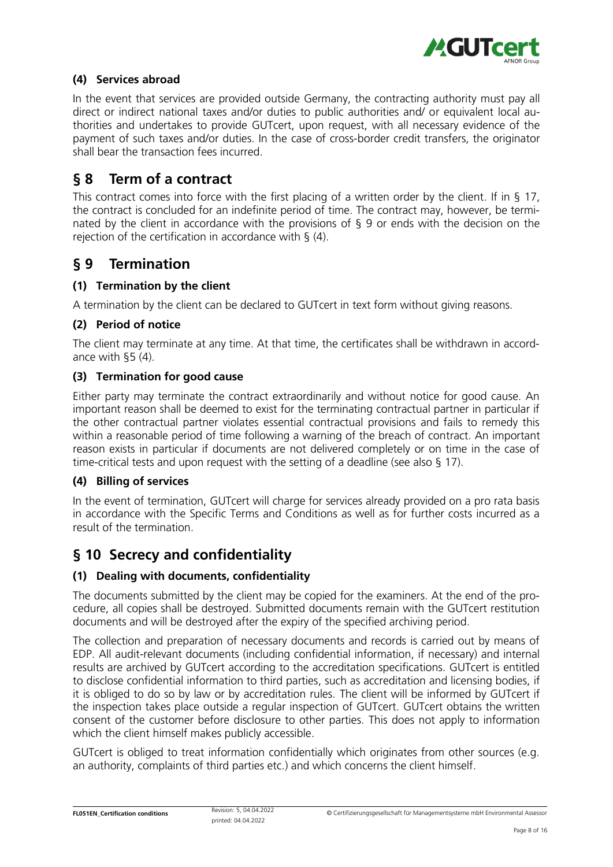

### (4) Services abroad

In the event that services are provided outside Germany, the contracting authority must pay all direct or indirect national taxes and/or duties to public authorities and/ or equivalent local authorities and undertakes to provide GUTcert, upon request, with all necessary evidence of the payment of such taxes and/or duties. In the case of cross-border credit transfers, the originator shall bear the transaction fees incurred.

### § 8 Term of a contract

This contract comes into force with the first placing of a written order by the client. If in § 17, the contract is concluded for an indefinite period of time. The contract may, however, be terminated by the client in accordance with the provisions of § 9 or ends with the decision on the rejection of the certification in accordance with § (4).

### § 9 Termination

### (1) Termination by the client

A termination by the client can be declared to GUTcert in text form without giving reasons.

### (2) Period of notice

The client may terminate at any time. At that time, the certificates shall be withdrawn in accordance with §5 (4).

### (3) Termination for good cause

Either party may terminate the contract extraordinarily and without notice for good cause. An important reason shall be deemed to exist for the terminating contractual partner in particular if the other contractual partner violates essential contractual provisions and fails to remedy this within a reasonable period of time following a warning of the breach of contract. An important reason exists in particular if documents are not delivered completely or on time in the case of time-critical tests and upon request with the setting of a deadline (see also § 17).

### (4) Billing of services

In the event of termination, GUTcert will charge for services already provided on a pro rata basis in accordance with the Specific Terms and Conditions as well as for further costs incurred as a result of the termination.

### § 10 Secrecy and confidentiality

### (1) Dealing with documents, confidentiality

The documents submitted by the client may be copied for the examiners. At the end of the procedure, all copies shall be destroyed. Submitted documents remain with the GUTcert restitution documents and will be destroyed after the expiry of the specified archiving period.

The collection and preparation of necessary documents and records is carried out by means of EDP. All audit-relevant documents (including confidential information, if necessary) and internal results are archived by GUTcert according to the accreditation specifications. GUTcert is entitled to disclose confidential information to third parties, such as accreditation and licensing bodies, if it is obliged to do so by law or by accreditation rules. The client will be informed by GUTcert if the inspection takes place outside a regular inspection of GUTcert. GUTcert obtains the written consent of the customer before disclosure to other parties. This does not apply to information which the client himself makes publicly accessible.

GUTcert is obliged to treat information confidentially which originates from other sources (e.g. an authority, complaints of third parties etc.) and which concerns the client himself.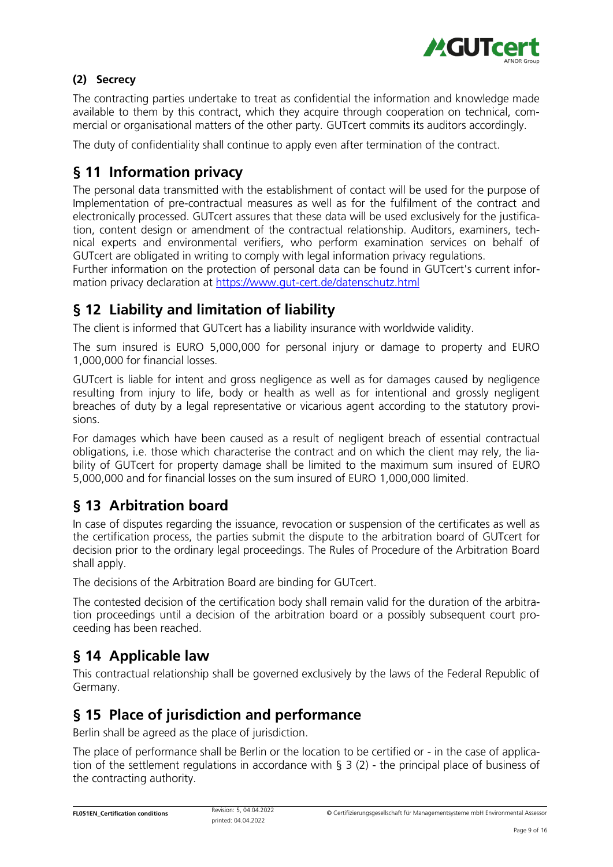

### (2) Secrecy

The contracting parties undertake to treat as confidential the information and knowledge made available to them by this contract, which they acquire through cooperation on technical, commercial or organisational matters of the other party. GUTcert commits its auditors accordingly.

The duty of confidentiality shall continue to apply even after termination of the contract.

### § 11 Information privacy

The personal data transmitted with the establishment of contact will be used for the purpose of Implementation of pre-contractual measures as well as for the fulfilment of the contract and electronically processed. GUTcert assures that these data will be used exclusively for the justification, content design or amendment of the contractual relationship. Auditors, examiners, technical experts and environmental verifiers, who perform examination services on behalf of GUTcert are obligated in writing to comply with legal information privacy regulations.

Further information on the protection of personal data can be found in GUTcert's current information privacy declaration at<https://www.gut-cert.de/datenschutz.html>

# § 12 Liability and limitation of liability

The client is informed that GUTcert has a liability insurance with worldwide validity.

The sum insured is EURO 5,000,000 for personal injury or damage to property and EURO 1,000,000 for financial losses.

GUTcert is liable for intent and gross negligence as well as for damages caused by negligence resulting from injury to life, body or health as well as for intentional and grossly negligent breaches of duty by a legal representative or vicarious agent according to the statutory provisions.

For damages which have been caused as a result of negligent breach of essential contractual obligations, i.e. those which characterise the contract and on which the client may rely, the liability of GUTcert for property damage shall be limited to the maximum sum insured of EURO 5,000,000 and for financial losses on the sum insured of EURO 1,000,000 limited.

### § 13 Arbitration board

In case of disputes regarding the issuance, revocation or suspension of the certificates as well as the certification process, the parties submit the dispute to the arbitration board of GUTcert for decision prior to the ordinary legal proceedings. The Rules of Procedure of the Arbitration Board shall apply.

The decisions of the Arbitration Board are binding for GUTcert.

The contested decision of the certification body shall remain valid for the duration of the arbitration proceedings until a decision of the arbitration board or a possibly subsequent court proceeding has been reached.

### § 14 Applicable law

This contractual relationship shall be governed exclusively by the laws of the Federal Republic of Germany.

### § 15 Place of jurisdiction and performance

Berlin shall be agreed as the place of jurisdiction.

The place of performance shall be Berlin or the location to be certified or - in the case of application of the settlement regulations in accordance with § 3 (2) - the principal place of business of the contracting authority.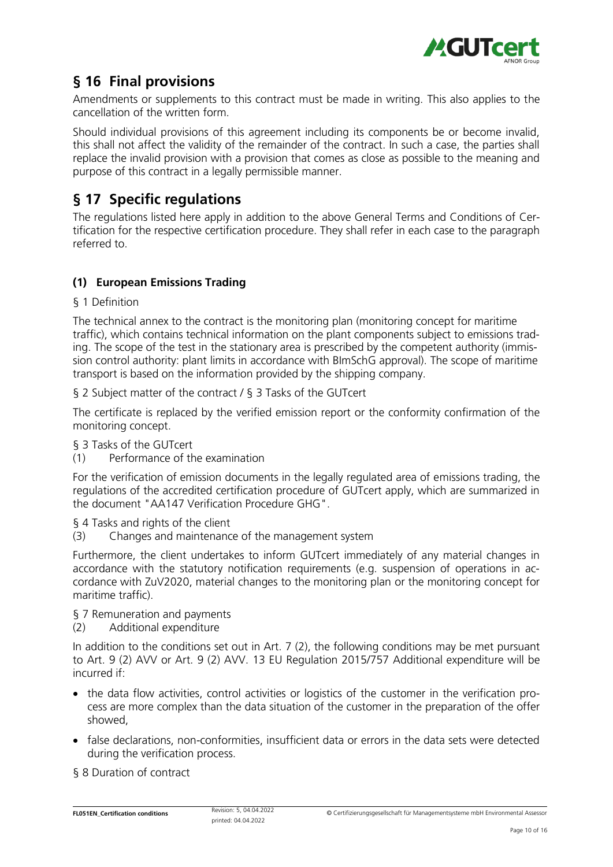

# § 16 Final provisions

Amendments or supplements to this contract must be made in writing. This also applies to the cancellation of the written form.

Should individual provisions of this agreement including its components be or become invalid, this shall not affect the validity of the remainder of the contract. In such a case, the parties shall replace the invalid provision with a provision that comes as close as possible to the meaning and purpose of this contract in a legally permissible manner.

# § 17 Specific regulations

The regulations listed here apply in addition to the above General Terms and Conditions of Certification for the respective certification procedure. They shall refer in each case to the paragraph referred to.

### (1) European Emissions Trading

### § 1 Definition

The technical annex to the contract is the monitoring plan (monitoring concept for maritime traffic), which contains technical information on the plant components subject to emissions trading. The scope of the test in the stationary area is prescribed by the competent authority (immission control authority: plant limits in accordance with BImSchG approval). The scope of maritime transport is based on the information provided by the shipping company.

§ 2 Subject matter of the contract / § 3 Tasks of the GUTcert

The certificate is replaced by the verified emission report or the conformity confirmation of the monitoring concept.

§ 3 Tasks of the GUTcert

(1) Performance of the examination

For the verification of emission documents in the legally regulated area of emissions trading, the regulations of the accredited certification procedure of GUTcert apply, which are summarized in the document "AA147 Verification Procedure GHG".

§ 4 Tasks and rights of the client

(3) Changes and maintenance of the management system

Furthermore, the client undertakes to inform GUTcert immediately of any material changes in accordance with the statutory notification requirements (e.g. suspension of operations in accordance with ZuV2020, material changes to the monitoring plan or the monitoring concept for maritime traffic).

§ 7 Remuneration and payments

(2) Additional expenditure

In addition to the conditions set out in Art. 7 (2), the following conditions may be met pursuant to Art. 9 (2) AVV or Art. 9 (2) AVV. 13 EU Regulation 2015/757 Additional expenditure will be incurred if:

- the data flow activities, control activities or logistics of the customer in the verification process are more complex than the data situation of the customer in the preparation of the offer showed,
- false declarations, non-conformities, insufficient data or errors in the data sets were detected during the verification process.

§ 8 Duration of contract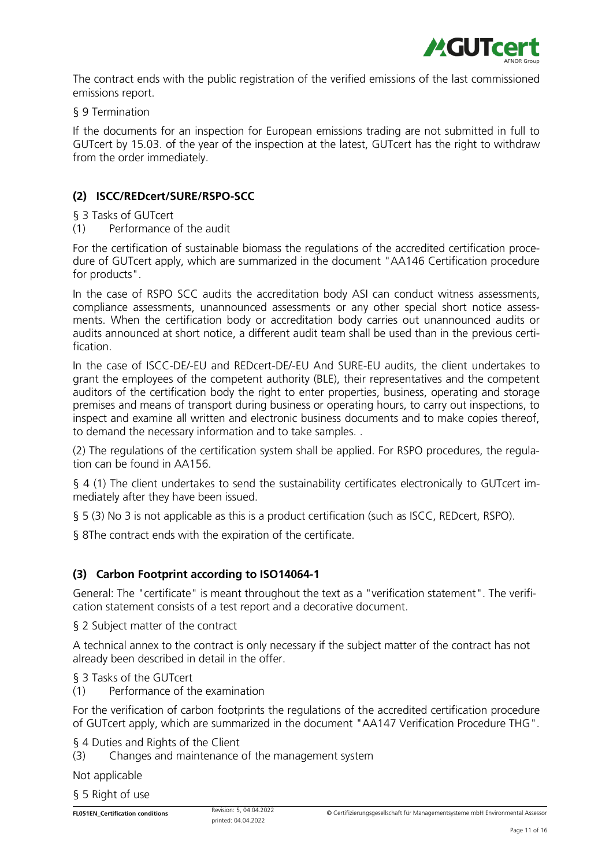

The contract ends with the public registration of the verified emissions of the last commissioned emissions report.

§ 9 Termination

If the documents for an inspection for European emissions trading are not submitted in full to GUTcert by 15.03. of the year of the inspection at the latest, GUTcert has the right to withdraw from the order immediately.

### (2) ISCC/REDcert/SURE/RSPO-SCC

#### § 3 Tasks of GUTcert

(1) Performance of the audit

For the certification of sustainable biomass the regulations of the accredited certification procedure of GUTcert apply, which are summarized in the document "AA146 Certification procedure for products".

In the case of RSPO SCC audits the accreditation body ASI can conduct witness assessments, compliance assessments, unannounced assessments or any other special short notice assessments. When the certification body or accreditation body carries out unannounced audits or audits announced at short notice, a different audit team shall be used than in the previous certification.

In the case of ISCC-DE/-EU and REDcert-DE/-EU And SURE-EU audits, the client undertakes to grant the employees of the competent authority (BLE), their representatives and the competent auditors of the certification body the right to enter properties, business, operating and storage premises and means of transport during business or operating hours, to carry out inspections, to inspect and examine all written and electronic business documents and to make copies thereof, to demand the necessary information and to take samples. .

(2) The regulations of the certification system shall be applied. For RSPO procedures, the regulation can be found in AA156.

§ 4 (1) The client undertakes to send the sustainability certificates electronically to GUTcert immediately after they have been issued.

§ 5 (3) No 3 is not applicable as this is a product certification (such as ISCC, REDcert, RSPO).

§ 8The contract ends with the expiration of the certificate.

### (3) Carbon Footprint according to ISO14064-1

General: The "certificate" is meant throughout the text as a "verification statement". The verification statement consists of a test report and a decorative document.

§ 2 Subject matter of the contract

A technical annex to the contract is only necessary if the subject matter of the contract has not already been described in detail in the offer.

§ 3 Tasks of the GUTcert

(1) Performance of the examination

For the verification of carbon footprints the regulations of the accredited certification procedure of GUTcert apply, which are summarized in the document "AA147 Verification Procedure THG".

§ 4 Duties and Rights of the Client

(3) Changes and maintenance of the management system

Not applicable

§ 5 Right of use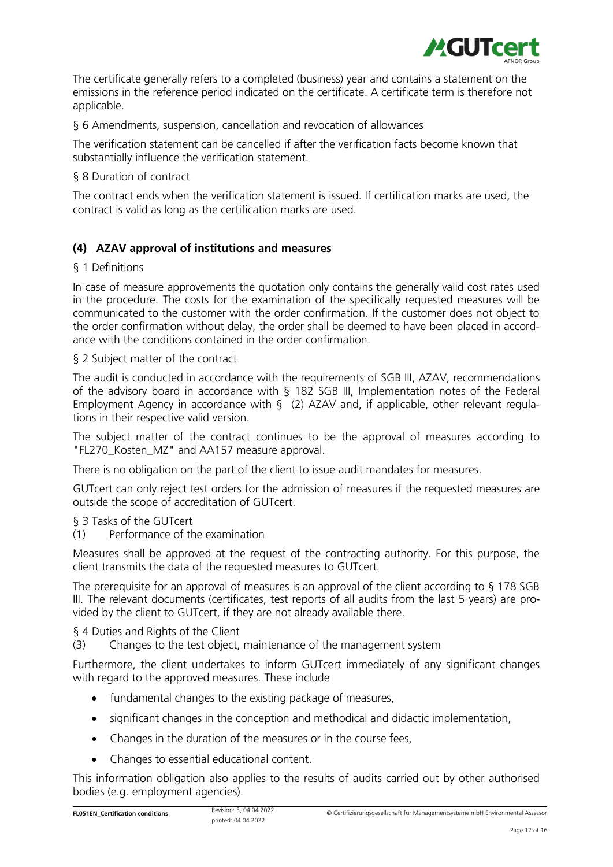

The certificate generally refers to a completed (business) year and contains a statement on the emissions in the reference period indicated on the certificate. A certificate term is therefore not applicable.

§ 6 Amendments, suspension, cancellation and revocation of allowances

The verification statement can be cancelled if after the verification facts become known that substantially influence the verification statement.

§ 8 Duration of contract

The contract ends when the verification statement is issued. If certification marks are used, the contract is valid as long as the certification marks are used.

### (4) AZAV approval of institutions and measures

#### § 1 Definitions

In case of measure approvements the quotation only contains the generally valid cost rates used in the procedure. The costs for the examination of the specifically requested measures will be communicated to the customer with the order confirmation. If the customer does not object to the order confirmation without delay, the order shall be deemed to have been placed in accordance with the conditions contained in the order confirmation.

§ 2 Subject matter of the contract

The audit is conducted in accordance with the requirements of SGB III, AZAV, recommendations of the advisory board in accordance with § 182 SGB III, Implementation notes of the Federal Employment Agency in accordance with § (2) AZAV and, if applicable, other relevant regulations in their respective valid version.

The subject matter of the contract continues to be the approval of measures according to "FL270\_Kosten\_MZ" and AA157 measure approval.

There is no obligation on the part of the client to issue audit mandates for measures.

GUTcert can only reject test orders for the admission of measures if the requested measures are outside the scope of accreditation of GUTcert.

### § 3 Tasks of the GUTcert

(1) Performance of the examination

Measures shall be approved at the request of the contracting authority. For this purpose, the client transmits the data of the requested measures to GUTcert.

The prerequisite for an approval of measures is an approval of the client according to § 178 SGB III. The relevant documents (certificates, test reports of all audits from the last 5 years) are provided by the client to GUTcert, if they are not already available there.

§ 4 Duties and Rights of the Client

(3) Changes to the test object, maintenance of the management system

Furthermore, the client undertakes to inform GUTcert immediately of any significant changes with regard to the approved measures. These include

- fundamental changes to the existing package of measures,
- significant changes in the conception and methodical and didactic implementation,
- Changes in the duration of the measures or in the course fees,
- Changes to essential educational content.

This information obligation also applies to the results of audits carried out by other authorised bodies (e.g. employment agencies).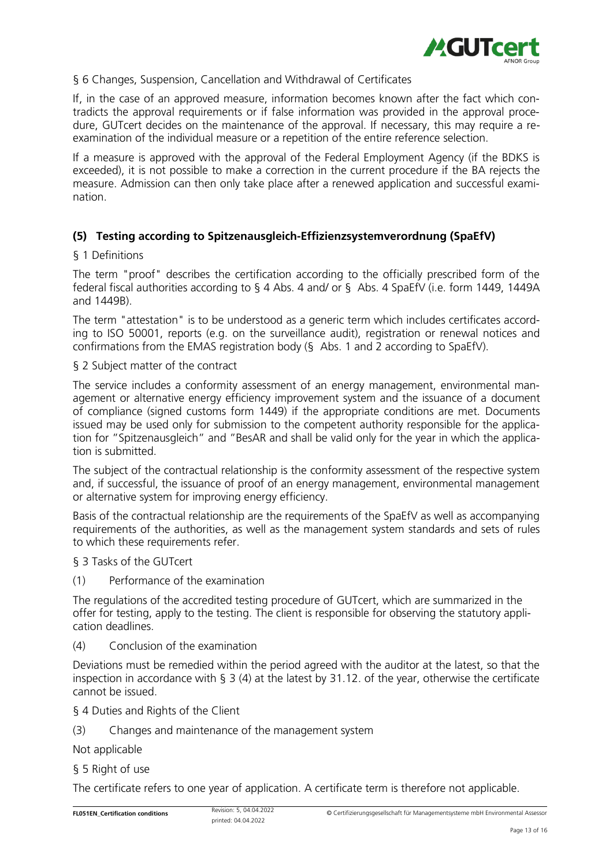

#### § 6 Changes, Suspension, Cancellation and Withdrawal of Certificates

If, in the case of an approved measure, information becomes known after the fact which contradicts the approval requirements or if false information was provided in the approval procedure, GUTcert decides on the maintenance of the approval. If necessary, this may require a reexamination of the individual measure or a repetition of the entire reference selection.

If a measure is approved with the approval of the Federal Employment Agency (if the BDKS is exceeded), it is not possible to make a correction in the current procedure if the BA rejects the measure. Admission can then only take place after a renewed application and successful examination.

### (5) Testing according to Spitzenausgleich-Effizienzsystemverordnung (SpaEfV)

#### § 1 Definitions

The term "proof" describes the certification according to the officially prescribed form of the federal fiscal authorities according to § 4 Abs. 4 and/ or § Abs. 4 SpaEfV (i.e. form 1449, 1449A and 1449B).

The term "attestation" is to be understood as a generic term which includes certificates according to ISO 50001, reports (e.g. on the surveillance audit), registration or renewal notices and confirmations from the EMAS registration body (§ Abs. 1 and 2 according to SpaEfV).

§ 2 Subject matter of the contract

The service includes a conformity assessment of an energy management, environmental management or alternative energy efficiency improvement system and the issuance of a document of compliance (signed customs form 1449) if the appropriate conditions are met. Documents issued may be used only for submission to the competent authority responsible for the application for "Spitzenausgleich" and "BesAR and shall be valid only for the year in which the application is submitted.

The subject of the contractual relationship is the conformity assessment of the respective system and, if successful, the issuance of proof of an energy management, environmental management or alternative system for improving energy efficiency.

Basis of the contractual relationship are the requirements of the SpaEfV as well as accompanying requirements of the authorities, as well as the management system standards and sets of rules to which these requirements refer.

§ 3 Tasks of the GUTcert

(1) Performance of the examination

The regulations of the accredited testing procedure of GUTcert, which are summarized in the offer for testing, apply to the testing. The client is responsible for observing the statutory application deadlines.

(4) Conclusion of the examination

Deviations must be remedied within the period agreed with the auditor at the latest, so that the inspection in accordance with § 3 (4) at the latest by 31.12. of the year, otherwise the certificate cannot be issued.

§ 4 Duties and Rights of the Client

(3) Changes and maintenance of the management system

Not applicable

§ 5 Right of use

The certificate refers to one year of application. A certificate term is therefore not applicable.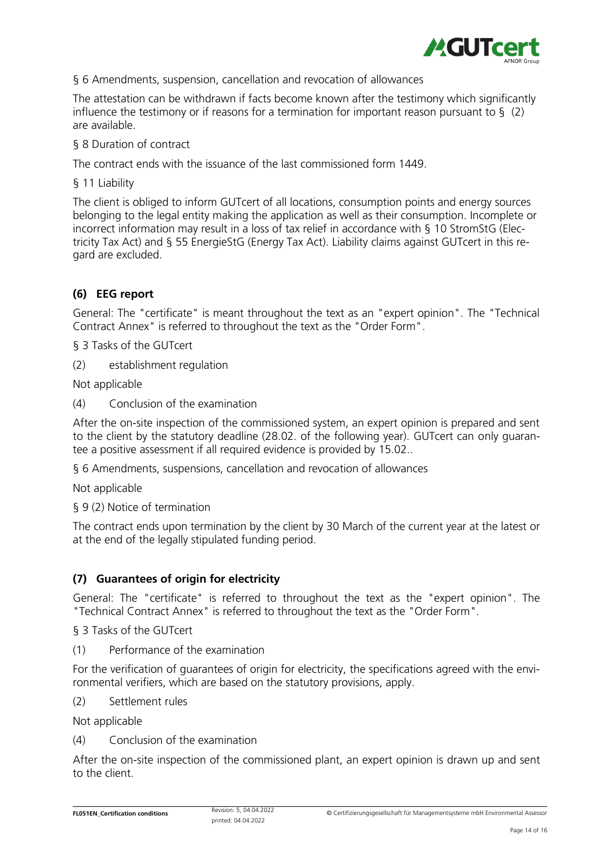

### § 6 Amendments, suspension, cancellation and revocation of allowances

The attestation can be withdrawn if facts become known after the testimony which significantly influence the testimony or if reasons for a termination for important reason pursuant to  $\S$  (2) are available.

§ 8 Duration of contract

The contract ends with the issuance of the last commissioned form 1449.

§ 11 Liability

The client is obliged to inform GUTcert of all locations, consumption points and energy sources belonging to the legal entity making the application as well as their consumption. Incomplete or incorrect information may result in a loss of tax relief in accordance with § 10 StromStG (Electricity Tax Act) and § 55 EnergieStG (Energy Tax Act). Liability claims against GUTcert in this regard are excluded.

### (6) EEG report

General: The "certificate" is meant throughout the text as an "expert opinion". The "Technical Contract Annex" is referred to throughout the text as the "Order Form".

§ 3 Tasks of the GUTcert

(2) establishment regulation

Not applicable

(4) Conclusion of the examination

After the on-site inspection of the commissioned system, an expert opinion is prepared and sent to the client by the statutory deadline (28.02. of the following year). GUTcert can only guarantee a positive assessment if all required evidence is provided by 15.02..

§ 6 Amendments, suspensions, cancellation and revocation of allowances

Not applicable

§ 9 (2) Notice of termination

The contract ends upon termination by the client by 30 March of the current year at the latest or at the end of the legally stipulated funding period.

### (7) Guarantees of origin for electricity

General: The "certificate" is referred to throughout the text as the "expert opinion". The "Technical Contract Annex" is referred to throughout the text as the "Order Form".

§ 3 Tasks of the GUTcert

(1) Performance of the examination

For the verification of guarantees of origin for electricity, the specifications agreed with the environmental verifiers, which are based on the statutory provisions, apply.

(2) Settlement rules

Not applicable

(4) Conclusion of the examination

After the on-site inspection of the commissioned plant, an expert opinion is drawn up and sent to the client.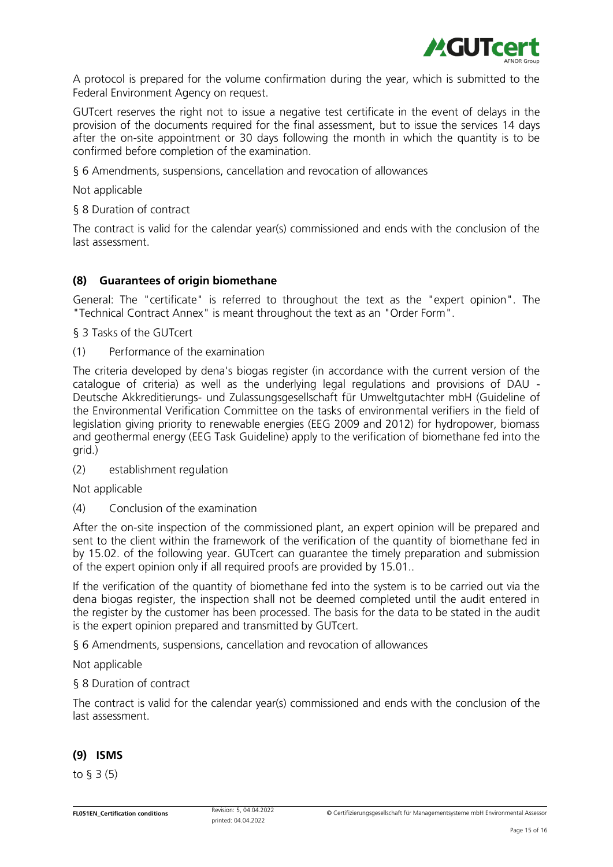

A protocol is prepared for the volume confirmation during the year, which is submitted to the Federal Environment Agency on request.

GUTcert reserves the right not to issue a negative test certificate in the event of delays in the provision of the documents required for the final assessment, but to issue the services 14 days after the on-site appointment or 30 days following the month in which the quantity is to be confirmed before completion of the examination.

§ 6 Amendments, suspensions, cancellation and revocation of allowances

Not applicable

§ 8 Duration of contract

The contract is valid for the calendar year(s) commissioned and ends with the conclusion of the last assessment.

#### (8) Guarantees of origin biomethane

General: The "certificate" is referred to throughout the text as the "expert opinion". The "Technical Contract Annex" is meant throughout the text as an "Order Form".

§ 3 Tasks of the GUTcert

(1) Performance of the examination

The criteria developed by dena's biogas register (in accordance with the current version of the catalogue of criteria) as well as the underlying legal regulations and provisions of DAU - Deutsche Akkreditierungs- und Zulassungsgesellschaft für Umweltgutachter mbH (Guideline of the Environmental Verification Committee on the tasks of environmental verifiers in the field of legislation giving priority to renewable energies (EEG 2009 and 2012) for hydropower, biomass and geothermal energy (EEG Task Guideline) apply to the verification of biomethane fed into the grid.)

(2) establishment regulation

Not applicable

(4) Conclusion of the examination

After the on-site inspection of the commissioned plant, an expert opinion will be prepared and sent to the client within the framework of the verification of the quantity of biomethane fed in by 15.02. of the following year. GUTcert can guarantee the timely preparation and submission of the expert opinion only if all required proofs are provided by 15.01..

If the verification of the quantity of biomethane fed into the system is to be carried out via the dena biogas register, the inspection shall not be deemed completed until the audit entered in the register by the customer has been processed. The basis for the data to be stated in the audit is the expert opinion prepared and transmitted by GUTcert.

§ 6 Amendments, suspensions, cancellation and revocation of allowances

Not applicable

§ 8 Duration of contract

The contract is valid for the calendar year(s) commissioned and ends with the conclusion of the last assessment.

#### (9) ISMS

to § 3 (5)